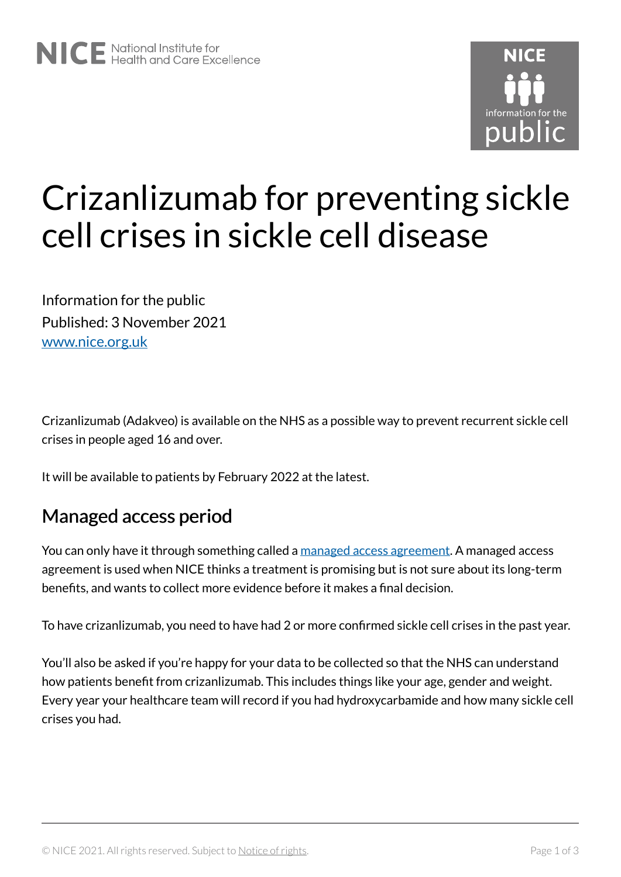

# Crizanlizumab for preventing sickle cell crises in sickle cell disease

Information for the public Published: 3 November 2021 [www.nice.org.uk](https://www.nice.org.uk/) 

Crizanlizumab (Adakveo) is available on the NHS as a possible way to prevent recurrent sickle cell crises in people aged 16 and over.

It will be available to patients by February 2022 at the latest.

#### Managed access period

You can only have it through something called a [managed access agreement.](https://www.nice.org.uk/guidance/ta743/resources) A managed access agreement is used when NICE thinks a treatment is promising but is not sure about its long-term benefits, and wants to collect more evidence before it makes a final decision.

To have crizanlizumab, you need to have had 2 or more confirmed sickle cell crises in the past year.

You'll also be asked if you're happy for your data to be collected so that the NHS can understand how patients benefit from crizanlizumab. This includes things like your age, gender and weight. Every year your healthcare team will record if you had hydroxycarbamide and how many sickle cell crises you had.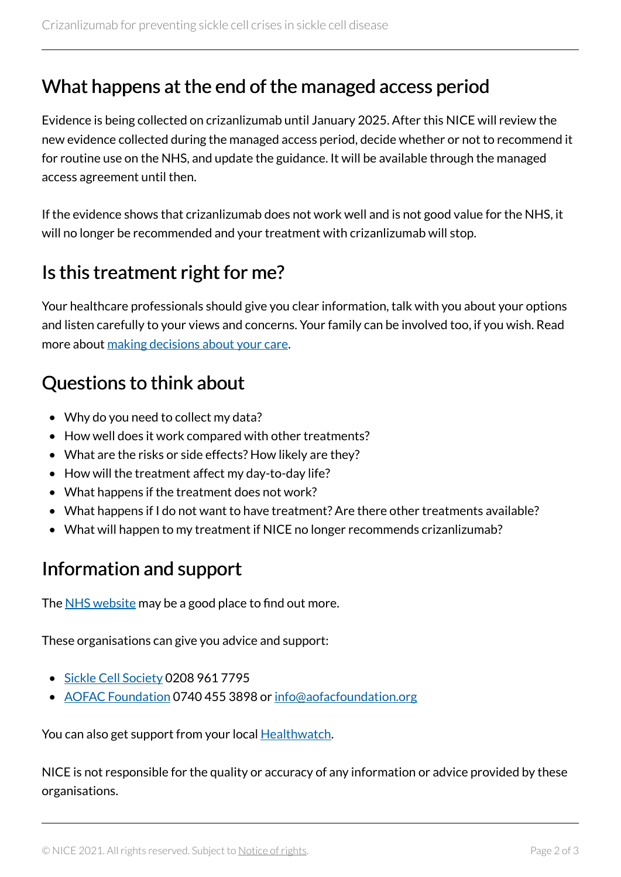### What happens at the end of the managed access period

Evidence is being collected on crizanlizumab until January 2025. After this NICE will review the new evidence collected during the managed access period, decide whether or not to recommend it for routine use on the NHS, and update the guidance. It will be available through the managed access agreement until then.

If the evidence shows that crizanlizumab does not work well and is not good value for the NHS, it will no longer be recommended and your treatment with crizanlizumab will stop.

### Is this treatment right for me?

Your healthcare professionals should give you clear information, talk with you about your options and listen carefully to your views and concerns. Your family can be involved too, if you wish. Read more about [making decisions about your care](https://www.nice.org.uk/about/nice-communities/public-involvement/your-care).

# Questions to think about

- Why do you need to collect my data?
- How well does it work compared with other treatments?
- What are the risks or side effects? How likely are they?
- How will the treatment affect my day-to-day life?
- What happens if the treatment does not work?
- What happens if I do not want to have treatment? Are there other treatments available?
- What will happen to my treatment if NICE no longer recommends crizanlizumab?

# Information and support

The [NHS website](https://www.nhs.uk/conditions/sickle-cell-disease/) may be a good place to find out more.

These organisations can give you advice and support:

- [Sickle Cell Society](https://www.sicklecellsociety.org/) 0208 961 7795
- [AOFAC Foundation](https://aofacfoundation.org/) 0740 455 3898 or [info@aofacfoundation.org](mailto:info@aofacfoundation.org)

You can also get support from your local **Healthwatch**.

NICE is not responsible for the quality or accuracy of any information or advice provided by these organisations.